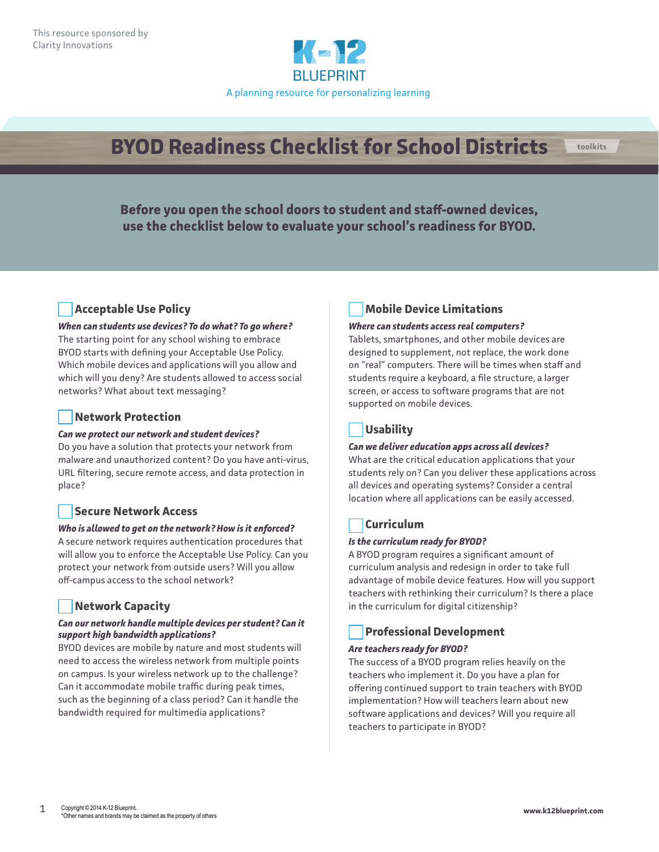

# **BYOD Readiness Checklist for School Districts toolkits**

**Before you open the school doors to student and staff-owned devices, use the checklist below to evaluate your school's readiness for BYOD.**

# **Acceptable Use Policy**

*When can students use devices? To do what? To go where?* The starting point for any school wishing to embrace BYOD starts with defining your Acceptable Use Policy. Which mobile devices and applications will you allow and which will you deny? Are students allowed to access social networks? What about text messaging?

# **Network Protection**

#### *Can we protect our network and student devices?*

Do you have a solution that protects your network from malware and unauthorized content? Do you have anti-virus, URL filtering, secure remote access, and data protection in place?

## **Secure Network Access**

#### *Who is allowed to get on the network? How is it enforced?*

A secure network requires authentication procedures that will allow you to enforce the Acceptable Use Policy. Can you protect your network from outside users? Will you allow off-campus access to the school network?

# **Network Capacity**

#### *Can our network handle multiple devices per student? Can it support high bandwidth applications?*

BYOD devices are mobile by nature and most students will need to access the wireless network from multiple points on campus. Is your wireless network up to the challenge? Can it accommodate mobile traffic during peak times, such as the beginning of a class period? Can it handle the bandwidth required for multimedia applications?

# **Mobile Device Limitations**

#### *Where can students access real computers?*

Tablets, smartphones, and other mobile devices are designed to supplement, not replace, the work done on "real" computers. There will be times when staff and students require a keyboard, a file structure, a larger screen, or access to software programs that are not supported on mobile devices.

# **Usability**

#### *Can we deliver education apps across all devices?*

What are the critical education applications that your students rely on? Can you deliver these applications across all devices and operating systems? Consider a central location where all applications can be easily accessed.

# **Curriculum**

#### *Is the curriculum ready for BYOD?*

A BYOD program requires a significant amount of curriculum analysis and redesign in order to take full advantage of mobile device features. How will you support teachers with rethinking their curriculum? Is there a place in the curriculum for digital citizenship?

## **Professional Development**

#### *Are teachers ready for BYOD?*

The success of a BYOD program relies heavily on the teachers who implement it. Do you have a plan for offering continued support to train teachers with BYOD implementation? How will teachers learn about new software applications and devices? Will you require all teachers to participate in BYOD?